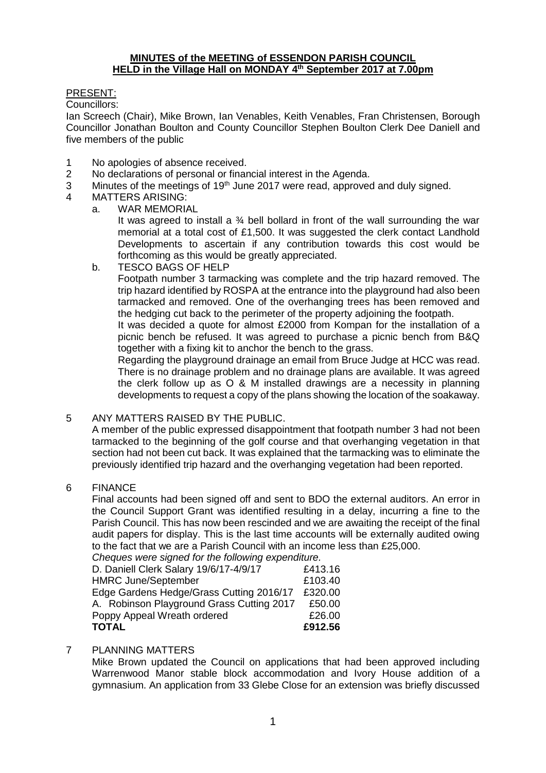## **MINUTES of the MEETING of ESSENDON PARISH COUNCIL HELD in the Village Hall on MONDAY 4 th September 2017 at 7.00pm**

## PRESENT:

Councillors:

Ian Screech (Chair), Mike Brown, Ian Venables, Keith Venables, Fran Christensen, Borough Councillor Jonathan Boulton and County Councillor Stephen Boulton Clerk Dee Daniell and five members of the public

- 1 No apologies of absence received.
- 2 No declarations of personal or financial interest in the Agenda.
- 3 Minutes of the meetings of 19<sup>th</sup> June 2017 were read, approved and duly signed.
- 4 MATTERS ARISING:
	- a. WAR MEMORIAL

It was agreed to install a  $\frac{3}{4}$  bell bollard in front of the wall surrounding the war memorial at a total cost of £1,500. It was suggested the clerk contact Landhold Developments to ascertain if any contribution towards this cost would be forthcoming as this would be greatly appreciated.

b. TESCO BAGS OF HELP

Footpath number 3 tarmacking was complete and the trip hazard removed. The trip hazard identified by ROSPA at the entrance into the playground had also been tarmacked and removed. One of the overhanging trees has been removed and the hedging cut back to the perimeter of the property adjoining the footpath.

It was decided a quote for almost £2000 from Kompan for the installation of a picnic bench be refused. It was agreed to purchase a picnic bench from B&Q together with a fixing kit to anchor the bench to the grass.

Regarding the playground drainage an email from Bruce Judge at HCC was read. There is no drainage problem and no drainage plans are available. It was agreed the clerk follow up as O & M installed drawings are a necessity in planning developments to request a copy of the plans showing the location of the soakaway.

5 ANY MATTERS RAISED BY THE PUBLIC.

A member of the public expressed disappointment that footpath number 3 had not been tarmacked to the beginning of the golf course and that overhanging vegetation in that section had not been cut back. It was explained that the tarmacking was to eliminate the previously identified trip hazard and the overhanging vegetation had been reported.

6 FINANCE

Final accounts had been signed off and sent to BDO the external auditors. An error in the Council Support Grant was identified resulting in a delay, incurring a fine to the Parish Council. This has now been rescinded and we are awaiting the receipt of the final audit papers for display. This is the last time accounts will be externally audited owing to the fact that we are a Parish Council with an income less than £25,000. *Cheques were signed for the following expenditure.* 

| <b>TOTAL</b>                                        | £912.56 |
|-----------------------------------------------------|---------|
| Poppy Appeal Wreath ordered                         | £26.00  |
| A. Robinson Playground Grass Cutting 2017           | £50.00  |
| Edge Gardens Hedge/Grass Cutting 2016/17            | £320.00 |
| <b>HMRC June/September</b>                          | £103.40 |
| D. Daniell Clerk Salary 19/6/17-4/9/17              | £413.16 |
| Criegues were signed for the following experimente. |         |

# 7 PLANNING MATTERS

Mike Brown updated the Council on applications that had been approved including Warrenwood Manor stable block accommodation and Ivory House addition of a gymnasium. An application from 33 Glebe Close for an extension was briefly discussed